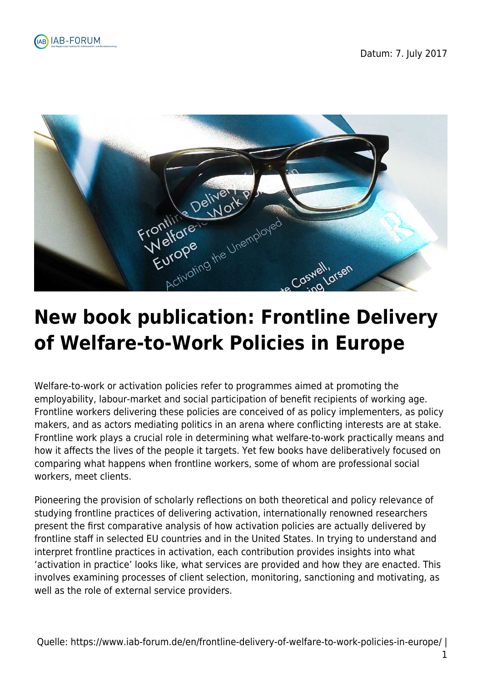



## **New book publication: Frontline Delivery of Welfare-to-Work Policies in Europe**

Welfare-to-work or activation policies refer to programmes aimed at promoting the employability, labour-market and social participation of benefit recipients of working age. Frontline workers delivering these policies are conceived of as policy implementers, as policy makers, and as actors mediating politics in an arena where conflicting interests are at stake. Frontline work plays a crucial role in determining what welfare-to-work practically means and how it affects the lives of the people it targets. Yet few books have deliberatively focused on comparing what happens when frontline workers, some of whom are professional social workers, meet clients.

Pioneering the provision of scholarly reflections on both theoretical and policy relevance of studying frontline practices of delivering activation, internationally renowned researchers present the first comparative analysis of how activation policies are actually delivered by frontline staff in selected EU countries and in the United States. In trying to understand and interpret frontline practices in activation, each contribution provides insights into what 'activation in practice' looks like, what services are provided and how they are enacted. This involves examining processes of client selection, monitoring, sanctioning and motivating, as well as the role of external service providers.